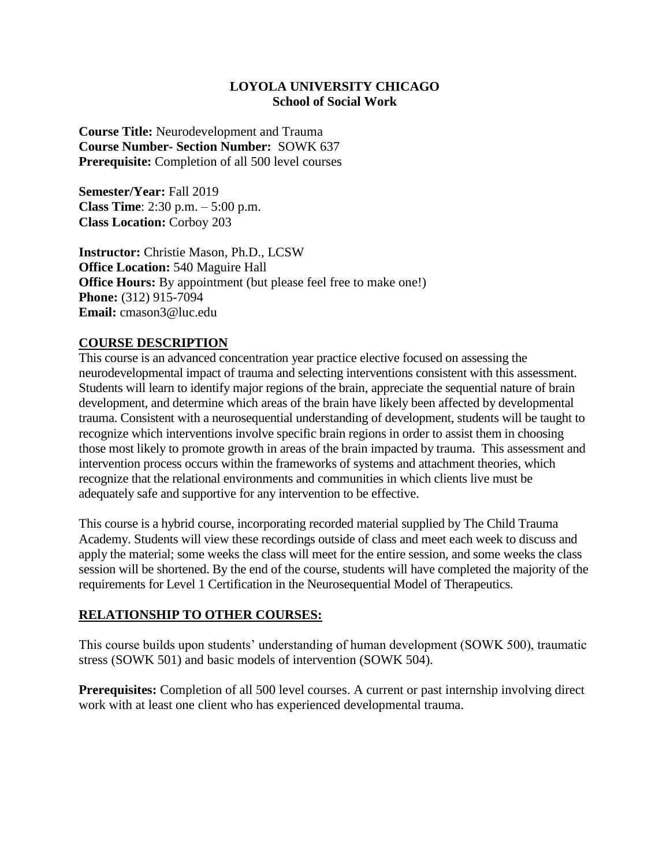#### **LOYOLA UNIVERSITY CHICAGO School of Social Work**

**Course Title:** Neurodevelopment and Trauma **Course Number- Section Number:** SOWK 637 **Prerequisite:** Completion of all 500 level courses

**Semester/Year:** Fall 2019 **Class Time**: 2:30 p.m. – 5:00 p.m. **Class Location:** Corboy 203

**Instructor:** Christie Mason, Ph.D., LCSW **Office Location:** 540 Maguire Hall **Office Hours:** By appointment (but please feel free to make one!) **Phone:** (312) 915-7094 **Email:** cmason3@luc.edu

### **COURSE DESCRIPTION**

This course is an advanced concentration year practice elective focused on assessing the neurodevelopmental impact of trauma and selecting interventions consistent with this assessment. Students will learn to identify major regions of the brain, appreciate the sequential nature of brain development, and determine which areas of the brain have likely been affected by developmental trauma. Consistent with a neurosequential understanding of development, students will be taught to recognize which interventions involve specific brain regions in order to assist them in choosing those most likely to promote growth in areas of the brain impacted by trauma. This assessment and intervention process occurs within the frameworks of systems and attachment theories, which recognize that the relational environments and communities in which clients live must be adequately safe and supportive for any intervention to be effective.

This course is a hybrid course, incorporating recorded material supplied by The Child Trauma Academy. Students will view these recordings outside of class and meet each week to discuss and apply the material; some weeks the class will meet for the entire session, and some weeks the class session will be shortened. By the end of the course, students will have completed the majority of the requirements for Level 1 Certification in the Neurosequential Model of Therapeutics.

### **RELATIONSHIP TO OTHER COURSES:**

This course builds upon students' understanding of human development (SOWK 500), traumatic stress (SOWK 501) and basic models of intervention (SOWK 504).

**Prerequisites:** Completion of all 500 level courses. A current or past internship involving direct work with at least one client who has experienced developmental trauma.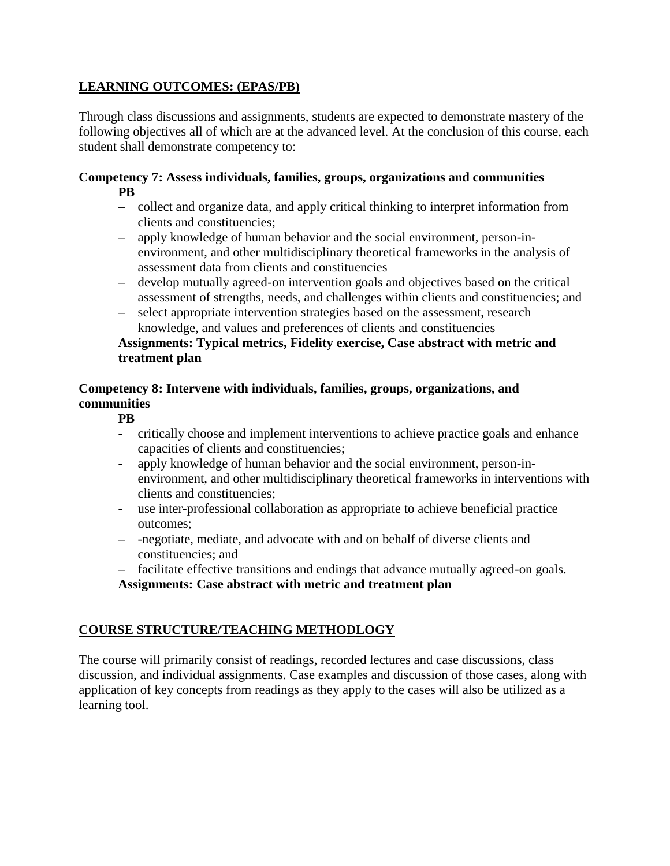# **LEARNING OUTCOMES: (EPAS/PB)**

Through class discussions and assignments, students are expected to demonstrate mastery of the following objectives all of which are at the advanced level. At the conclusion of this course, each student shall demonstrate competency to:

### **Competency 7: Assess individuals, families, groups, organizations and communities PB**

- **–** collect and organize data, and apply critical thinking to interpret information from clients and constituencies;
- **–** apply knowledge of human behavior and the social environment, person-inenvironment, and other multidisciplinary theoretical frameworks in the analysis of assessment data from clients and constituencies
- **–** develop mutually agreed-on intervention goals and objectives based on the critical assessment of strengths, needs, and challenges within clients and constituencies; and
- **–** select appropriate intervention strategies based on the assessment, research knowledge, and values and preferences of clients and constituencies

### **Assignments: Typical metrics, Fidelity exercise, Case abstract with metric and treatment plan**

### **Competency 8: Intervene with individuals, families, groups, organizations, and communities**

# **PB**

- critically choose and implement interventions to achieve practice goals and enhance capacities of clients and constituencies;
- apply knowledge of human behavior and the social environment, person-inenvironment, and other multidisciplinary theoretical frameworks in interventions with clients and constituencies;
- use inter-professional collaboration as appropriate to achieve beneficial practice outcomes;
- **–** -negotiate, mediate, and advocate with and on behalf of diverse clients and constituencies; and
- **–** facilitate effective transitions and endings that advance mutually agreed-on goals. **Assignments: Case abstract with metric and treatment plan**

# **COURSE STRUCTURE/TEACHING METHODLOGY**

The course will primarily consist of readings, recorded lectures and case discussions, class discussion, and individual assignments. Case examples and discussion of those cases, along with application of key concepts from readings as they apply to the cases will also be utilized as a learning tool.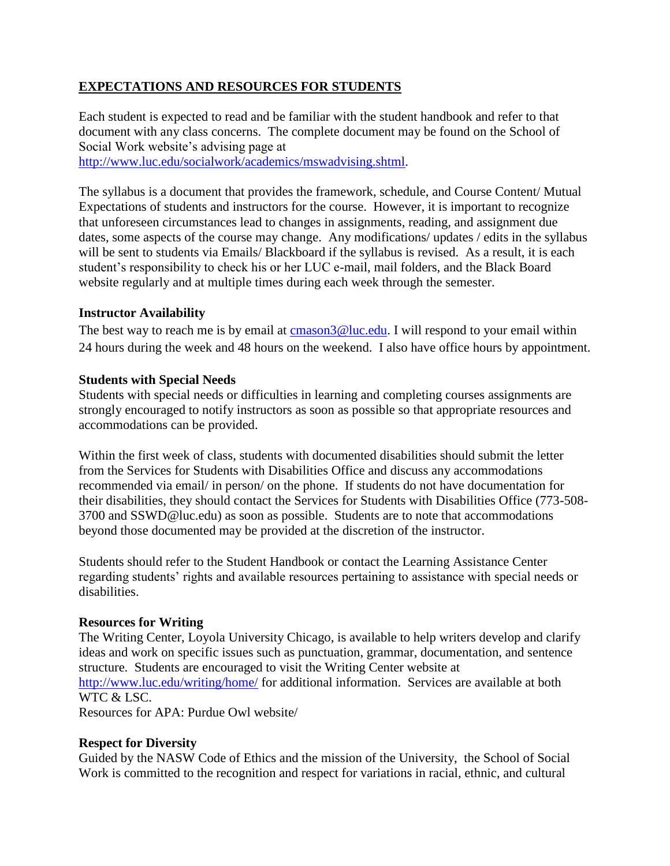# **EXPECTATIONS AND RESOURCES FOR STUDENTS**

Each student is expected to read and be familiar with the student handbook and refer to that document with any class concerns. The complete document may be found on the School of Social Work website's advising page at [http://www.luc.edu/socialwork/academics/mswadvising.shtml.](http://www.luc.edu/socialwork/academics/mswadvising.shtml)

The syllabus is a document that provides the framework, schedule, and Course Content/ Mutual Expectations of students and instructors for the course. However, it is important to recognize that unforeseen circumstances lead to changes in assignments, reading, and assignment due dates, some aspects of the course may change. Any modifications/ updates / edits in the syllabus will be sent to students via Emails/ Blackboard if the syllabus is revised. As a result, it is each student's responsibility to check his or her LUC e-mail, mail folders, and the Black Board website regularly and at multiple times during each week through the semester.

#### **Instructor Availability**

The best way to reach me is by email at  $\frac{\text{cmason3@luc.edu.}}{\text{coul.edu.}}$  I will respond to your email within 24 hours during the week and 48 hours on the weekend. I also have office hours by appointment.

#### **Students with Special Needs**

Students with special needs or difficulties in learning and completing courses assignments are strongly encouraged to notify instructors as soon as possible so that appropriate resources and accommodations can be provided.

Within the first week of class, students with documented disabilities should submit the letter from the Services for Students with Disabilities Office and discuss any accommodations recommended via email/ in person/ on the phone. If students do not have documentation for their disabilities, they should contact the Services for Students with Disabilities Office (773-508- 3700 and SSWD@luc.edu) as soon as possible. Students are to note that accommodations beyond those documented may be provided at the discretion of the instructor.

Students should refer to the Student Handbook or contact the Learning Assistance Center regarding students' rights and available resources pertaining to assistance with special needs or disabilities.

### **Resources for Writing**

The Writing Center, Loyola University Chicago, is available to help writers develop and clarify ideas and work on specific issues such as punctuation, grammar, documentation, and sentence structure. Students are encouraged to visit the Writing Center website at <http://www.luc.edu/writing/home/> for additional information. Services are available at both WTC & LSC. Resources for APA: Purdue Owl website/

### **Respect for Diversity**

Guided by the NASW Code of Ethics and the mission of the University, the School of Social Work is committed to the recognition and respect for variations in racial, ethnic, and cultural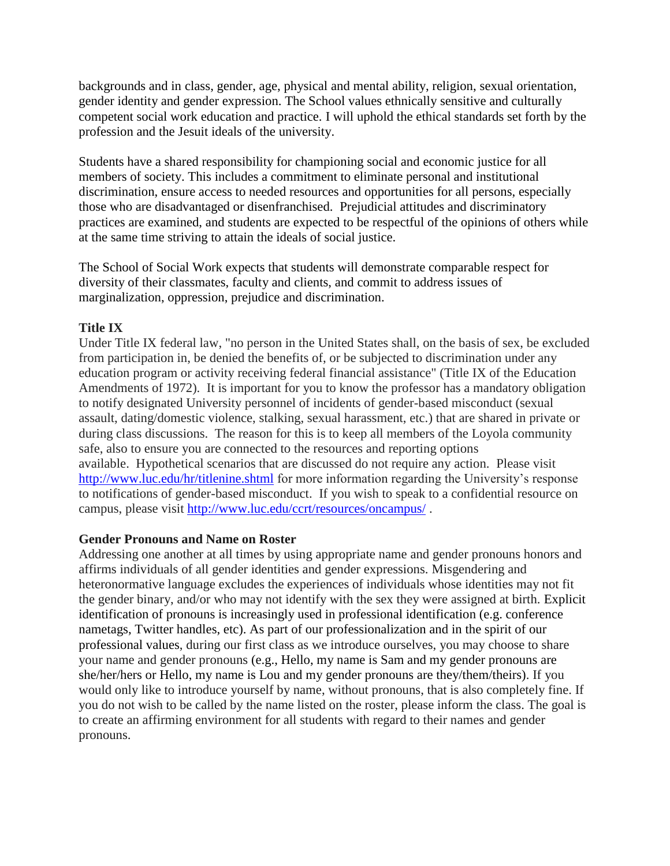backgrounds and in class, gender, age, physical and mental ability, religion, sexual orientation, gender identity and gender expression. The School values ethnically sensitive and culturally competent social work education and practice. I will uphold the ethical standards set forth by the profession and the Jesuit ideals of the university.

Students have a shared responsibility for championing social and economic justice for all members of society. This includes a commitment to eliminate personal and institutional discrimination, ensure access to needed resources and opportunities for all persons, especially those who are disadvantaged or disenfranchised. Prejudicial attitudes and discriminatory practices are examined, and students are expected to be respectful of the opinions of others while at the same time striving to attain the ideals of social justice.

The School of Social Work expects that students will demonstrate comparable respect for diversity of their classmates, faculty and clients, and commit to address issues of marginalization, oppression, prejudice and discrimination.

#### **Title IX**

Under Title IX federal law, "no person in the United States shall, on the basis of sex, be excluded from participation in, be denied the benefits of, or be subjected to discrimination under any education program or activity receiving federal financial assistance" (Title IX of the Education Amendments of 1972). It is important for you to know the professor has a mandatory obligation to notify designated University personnel of incidents of gender-based misconduct (sexual assault, dating/domestic violence, stalking, sexual harassment, etc.) that are shared in private or during class discussions. The reason for this is to keep all members of the Loyola community safe, also to ensure you are connected to the resources and reporting options available. Hypothetical scenarios that are discussed do not require any action. Please visit <http://www.luc.edu/hr/titlenine.shtml> for more information regarding the University's response to notifications of gender-based misconduct. If you wish to speak to a confidential resource on campus, please visit<http://www.luc.edu/ccrt/resources/oncampus/> .

#### **Gender Pronouns and Name on Roster**

Addressing one another at all times by using appropriate name and gender pronouns honors and affirms individuals of all gender identities and gender expressions. Misgendering and heteronormative language excludes the experiences of individuals whose identities may not fit the gender binary, and/or who may not identify with the sex they were assigned at birth. Explicit identification of pronouns is increasingly used in professional identification (e.g. conference nametags, Twitter handles, etc). As part of our professionalization and in the spirit of our professional values, during our first class as we introduce ourselves, you may choose to share your name and gender pronouns (e.g., Hello, my name is Sam and my gender pronouns are she/her/hers or Hello, my name is Lou and my gender pronouns are they/them/theirs). If you would only like to introduce yourself by name, without pronouns, that is also completely fine. If you do not wish to be called by the name listed on the roster, please inform the class. The goal is to create an affirming environment for all students with regard to their names and gender pronouns.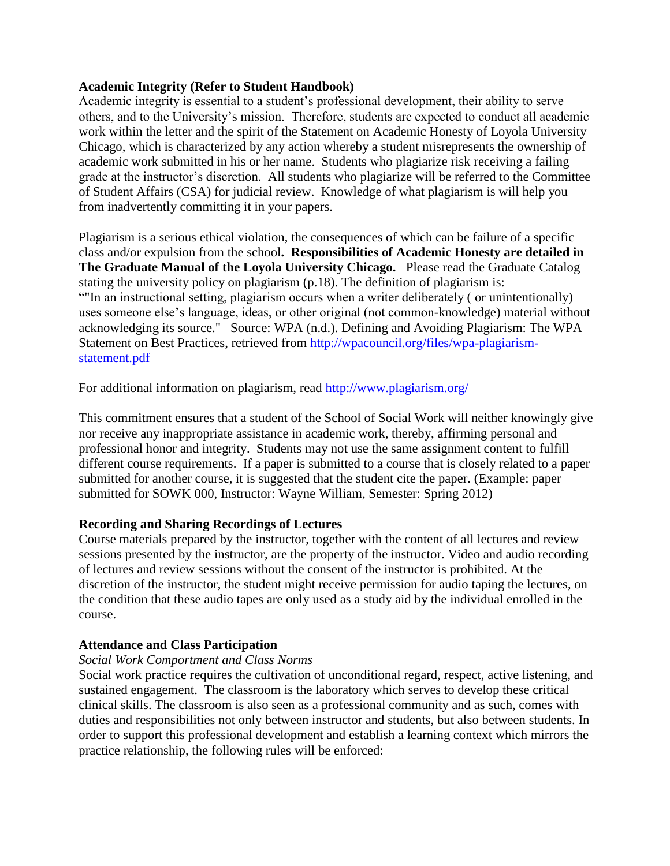#### **Academic Integrity (Refer to Student Handbook)**

Academic integrity is essential to a student's professional development, their ability to serve others, and to the University's mission. Therefore, students are expected to conduct all academic work within the letter and the spirit of the Statement on Academic Honesty of Loyola University Chicago, which is characterized by any action whereby a student misrepresents the ownership of academic work submitted in his or her name. Students who plagiarize risk receiving a failing grade at the instructor's discretion. All students who plagiarize will be referred to the Committee of Student Affairs (CSA) for judicial review. Knowledge of what plagiarism is will help you from inadvertently committing it in your papers.

Plagiarism is a serious ethical violation, the consequences of which can be failure of a specific class and/or expulsion from the school**. Responsibilities of Academic Honesty are detailed in The Graduate Manual of the Loyola University Chicago.** Please read the Graduate Catalog stating the university policy on plagiarism (p.18). The definition of plagiarism is: ""In an instructional setting, plagiarism occurs when a writer deliberately ( or unintentionally) uses someone else's language, ideas, or other original (not common-knowledge) material without acknowledging its source." Source: WPA (n.d.). Defining and Avoiding Plagiarism: The WPA Statement on Best Practices, retrieved from [http://wpacouncil.org/files/wpa-plagiarism](http://wpacouncil.org/files/wpa-plagiarism-statement.pdf)[statement.pdf](http://wpacouncil.org/files/wpa-plagiarism-statement.pdf)

For additional information on plagiarism, read<http://www.plagiarism.org/>

This commitment ensures that a student of the School of Social Work will neither knowingly give nor receive any inappropriate assistance in academic work, thereby, affirming personal and professional honor and integrity. Students may not use the same assignment content to fulfill different course requirements. If a paper is submitted to a course that is closely related to a paper submitted for another course, it is suggested that the student cite the paper. (Example: paper submitted for SOWK 000, Instructor: Wayne William, Semester: Spring 2012)

### **Recording and Sharing Recordings of Lectures**

Course materials prepared by the instructor, together with the content of all lectures and review sessions presented by the instructor, are the property of the instructor. Video and audio recording of lectures and review sessions without the consent of the instructor is prohibited. At the discretion of the instructor, the student might receive permission for audio taping the lectures, on the condition that these audio tapes are only used as a study aid by the individual enrolled in the course.

### **Attendance and Class Participation**

#### *Social Work Comportment and Class Norms*

Social work practice requires the cultivation of unconditional regard, respect, active listening, and sustained engagement. The classroom is the laboratory which serves to develop these critical clinical skills. The classroom is also seen as a professional community and as such, comes with duties and responsibilities not only between instructor and students, but also between students. In order to support this professional development and establish a learning context which mirrors the practice relationship, the following rules will be enforced: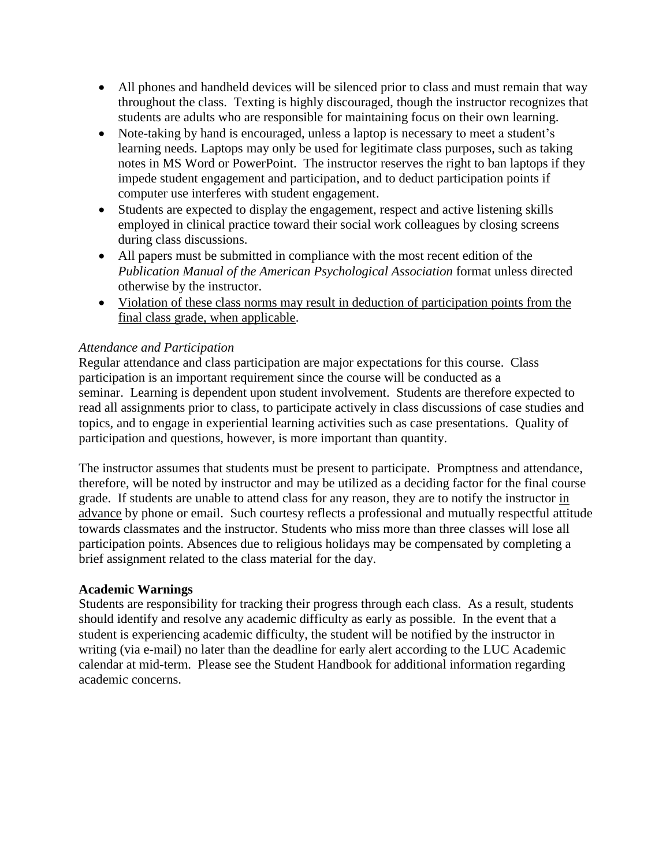- All phones and handheld devices will be silenced prior to class and must remain that way throughout the class. Texting is highly discouraged, though the instructor recognizes that students are adults who are responsible for maintaining focus on their own learning.
- Note-taking by hand is encouraged, unless a laptop is necessary to meet a student's learning needs. Laptops may only be used for legitimate class purposes, such as taking notes in MS Word or PowerPoint. The instructor reserves the right to ban laptops if they impede student engagement and participation, and to deduct participation points if computer use interferes with student engagement.
- Students are expected to display the engagement, respect and active listening skills employed in clinical practice toward their social work colleagues by closing screens during class discussions.
- All papers must be submitted in compliance with the most recent edition of the *Publication Manual of the American Psychological Association* format unless directed otherwise by the instructor.
- Violation of these class norms may result in deduction of participation points from the final class grade, when applicable.

### *Attendance and Participation*

Regular attendance and class participation are major expectations for this course. Class participation is an important requirement since the course will be conducted as a seminar. Learning is dependent upon student involvement. Students are therefore expected to read all assignments prior to class, to participate actively in class discussions of case studies and topics, and to engage in experiential learning activities such as case presentations. Quality of participation and questions, however, is more important than quantity.

The instructor assumes that students must be present to participate. Promptness and attendance, therefore, will be noted by instructor and may be utilized as a deciding factor for the final course grade. If students are unable to attend class for any reason, they are to notify the instructor in advance by phone or email. Such courtesy reflects a professional and mutually respectful attitude towards classmates and the instructor. Students who miss more than three classes will lose all participation points. Absences due to religious holidays may be compensated by completing a brief assignment related to the class material for the day.

#### **Academic Warnings**

Students are responsibility for tracking their progress through each class. As a result, students should identify and resolve any academic difficulty as early as possible. In the event that a student is experiencing academic difficulty, the student will be notified by the instructor in writing (via e-mail) no later than the deadline for early alert according to the LUC Academic calendar at mid-term. Please see the Student Handbook for additional information regarding academic concerns.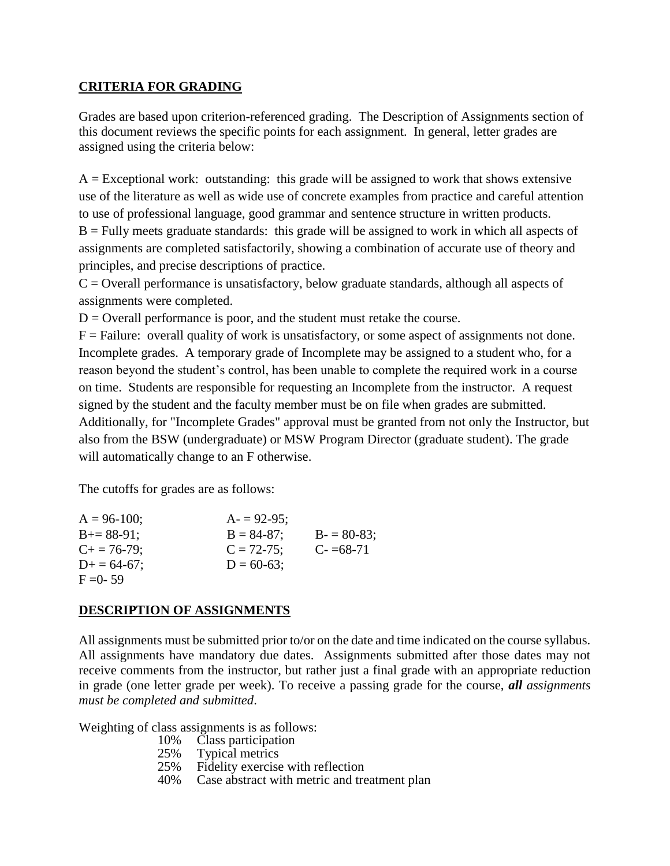### **CRITERIA FOR GRADING**

Grades are based upon criterion-referenced grading. The Description of Assignments section of this document reviews the specific points for each assignment. In general, letter grades are assigned using the criteria below:

 $A = Exceptional work: outstanding: this grade will be assigned to work that shows extensive$ use of the literature as well as wide use of concrete examples from practice and careful attention to use of professional language, good grammar and sentence structure in written products.  $B =$  Fully meets graduate standards: this grade will be assigned to work in which all aspects of assignments are completed satisfactorily, showing a combination of accurate use of theory and principles, and precise descriptions of practice.

 $C =$  Overall performance is unsatisfactory, below graduate standards, although all aspects of assignments were completed.

 $D =$  Overall performance is poor, and the student must retake the course.

 $F =$  Failure: overall quality of work is unsatisfactory, or some aspect of assignments not done. Incomplete grades. A temporary grade of Incomplete may be assigned to a student who, for a reason beyond the student's control, has been unable to complete the required work in a course on time. Students are responsible for requesting an Incomplete from the instructor. A request signed by the student and the faculty member must be on file when grades are submitted. Additionally, for "Incomplete Grades" approval must be granted from not only the Instructor, but also from the BSW (undergraduate) or MSW Program Director (graduate student). The grade will automatically change to an F otherwise.

The cutoffs for grades are as follows:

| $A = 96-100$ ;    | $A = 92-95$ ;   |               |
|-------------------|-----------------|---------------|
| $B+=88-91$ ;      | $B = 84-87$ ;   | $B = 80-83$ ; |
| $C_{+} = 76-79$ ; | $C = 72 - 75$ ; | $C = 68-71$   |
| $D+ = 64-67;$     | $D = 60-63;$    |               |
| $F = 0 - 59$      |                 |               |

# **DESCRIPTION OF ASSIGNMENTS**

All assignments must be submitted prior to/or on the date and time indicated on the course syllabus. All assignments have mandatory due dates. Assignments submitted after those dates may not receive comments from the instructor, but rather just a final grade with an appropriate reduction in grade (one letter grade per week). To receive a passing grade for the course, *all assignments must be completed and submitted*.

Weighting of class assignments is as follows:<br> $10\%$  Class participation

- 10% Class participation<br>25% Typical metrics
- 25% Typical metrics<br>25% Fidelity exercise
- Fidelity exercise with reflection
- 40% Case abstract with metric and treatment plan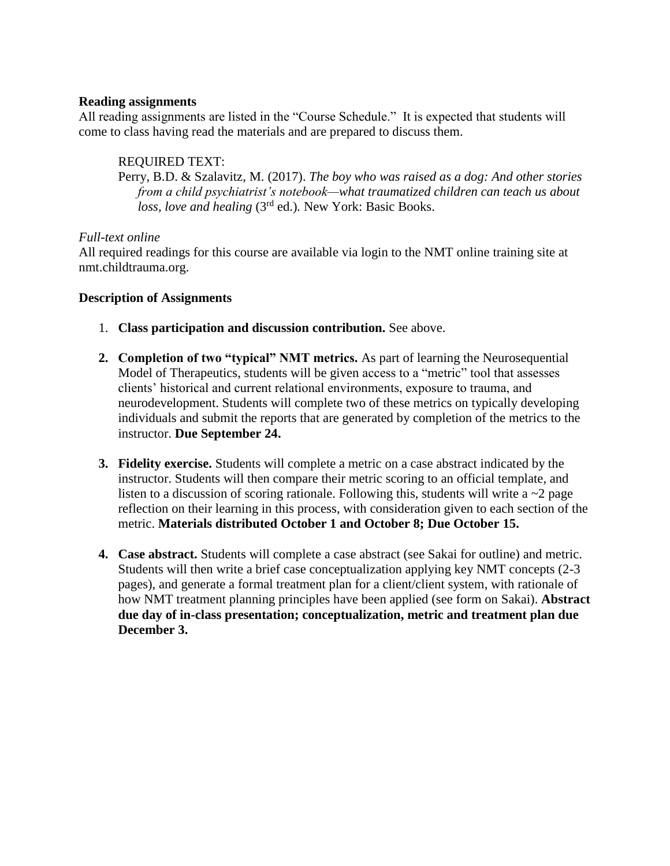#### **Reading assignments**

All reading assignments are listed in the "Course Schedule." It is expected that students will come to class having read the materials and are prepared to discuss them.

### REQUIRED TEXT:

Perry, B.D. & Szalavitz, M. (2017). *The boy who was raised as a dog: And other stories from a child psychiatrist's notebook—what traumatized children can teach us about loss, love and healing* (3rd ed.)*.* New York: Basic Books.

### *Full-text online*

All required readings for this course are available via login to the NMT online training site at nmt.childtrauma.org.

#### **Description of Assignments**

- 1. **Class participation and discussion contribution.** See above.
- **2. Completion of two "typical" NMT metrics.** As part of learning the Neurosequential Model of Therapeutics, students will be given access to a "metric" tool that assesses clients' historical and current relational environments, exposure to trauma, and neurodevelopment. Students will complete two of these metrics on typically developing individuals and submit the reports that are generated by completion of the metrics to the instructor. **Due September 24.**
- **3. Fidelity exercise.** Students will complete a metric on a case abstract indicated by the instructor. Students will then compare their metric scoring to an official template, and listen to a discussion of scoring rationale. Following this, students will write a  $\sim$ 2 page reflection on their learning in this process, with consideration given to each section of the metric. **Materials distributed October 1 and October 8; Due October 15.**
- **4. Case abstract.** Students will complete a case abstract (see Sakai for outline) and metric. Students will then write a brief case conceptualization applying key NMT concepts (2-3 pages), and generate a formal treatment plan for a client/client system, with rationale of how NMT treatment planning principles have been applied (see form on Sakai). **Abstract due day of in-class presentation; conceptualization, metric and treatment plan due December 3.**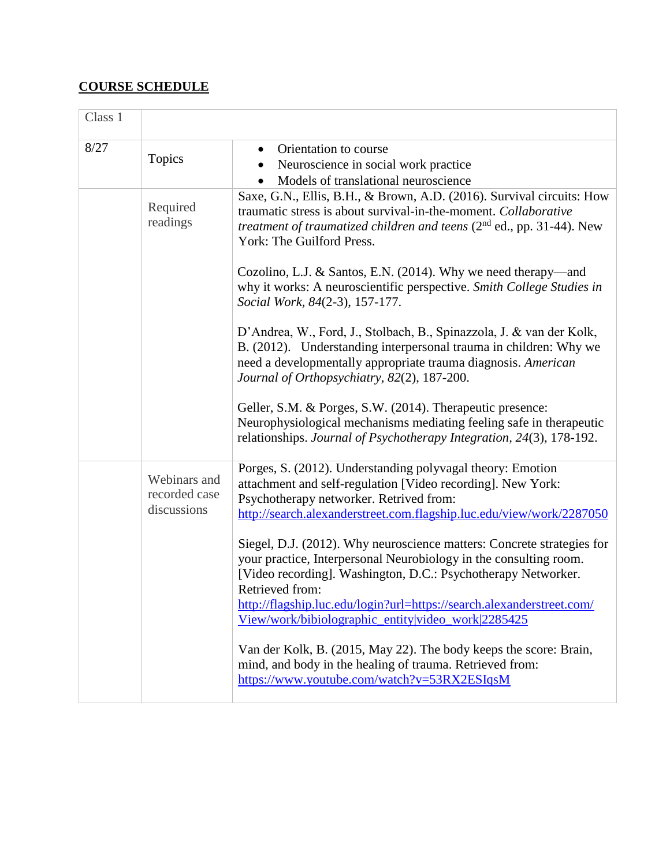# **COURSE SCHEDULE**

| Class 1 |                                              |                                                                                                                                                                                                                                                                                                                                                                |
|---------|----------------------------------------------|----------------------------------------------------------------------------------------------------------------------------------------------------------------------------------------------------------------------------------------------------------------------------------------------------------------------------------------------------------------|
| 8/27    | Topics                                       | Orientation to course<br>$\bullet$<br>Neuroscience in social work practice<br>Models of translational neuroscience                                                                                                                                                                                                                                             |
|         | Required<br>readings                         | Saxe, G.N., Ellis, B.H., & Brown, A.D. (2016). Survival circuits: How<br>traumatic stress is about survival-in-the-moment. Collaborative<br>treatment of traumatized children and teens (2 <sup>nd</sup> ed., pp. 31-44). New<br>York: The Guilford Press.                                                                                                     |
|         |                                              | Cozolino, L.J. & Santos, E.N. (2014). Why we need therapy—and<br>why it works: A neuroscientific perspective. Smith College Studies in<br>Social Work, 84(2-3), 157-177.                                                                                                                                                                                       |
|         |                                              | D'Andrea, W., Ford, J., Stolbach, B., Spinazzola, J. & van der Kolk,<br>B. (2012). Understanding interpersonal trauma in children: Why we<br>need a developmentally appropriate trauma diagnosis. American<br>Journal of Orthopsychiatry, 82(2), 187-200.                                                                                                      |
|         |                                              | Geller, S.M. & Porges, S.W. (2014). Therapeutic presence:<br>Neurophysiological mechanisms mediating feeling safe in therapeutic<br>relationships. Journal of Psychotherapy Integration, 24(3), 178-192.                                                                                                                                                       |
|         | Webinars and<br>recorded case<br>discussions | Porges, S. (2012). Understanding polyvagal theory: Emotion<br>attachment and self-regulation [Video recording]. New York:<br>Psychotherapy networker. Retrived from:<br>http://search.alexanderstreet.com.flagship.luc.edu/view/work/2287050                                                                                                                   |
|         |                                              | Siegel, D.J. (2012). Why neuroscience matters: Concrete strategies for<br>your practice, Interpersonal Neurobiology in the consulting room.<br>[Video recording]. Washington, D.C.: Psychotherapy Networker.<br>Retrieved from:<br>http://flagship.luc.edu/login?url=https://search.alexanderstreet.com/<br>View/work/bibiolographic_entity video_work 2285425 |
|         |                                              | Van der Kolk, B. (2015, May 22). The body keeps the score: Brain,<br>mind, and body in the healing of trauma. Retrieved from:<br>https://www.youtube.com/watch?v=53RX2ESIqsM                                                                                                                                                                                   |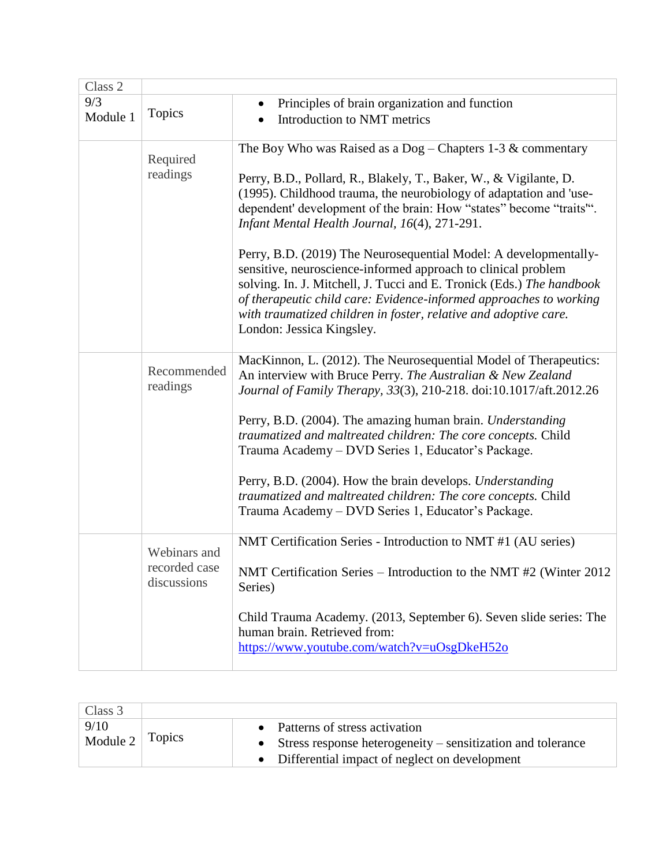| Class 2         |                                              |                                                                                                                                                                                                                                                                                                                                                                                                                                                                                                                                                                                |
|-----------------|----------------------------------------------|--------------------------------------------------------------------------------------------------------------------------------------------------------------------------------------------------------------------------------------------------------------------------------------------------------------------------------------------------------------------------------------------------------------------------------------------------------------------------------------------------------------------------------------------------------------------------------|
| 9/3<br>Module 1 | Topics                                       | Principles of brain organization and function<br>Introduction to NMT metrics                                                                                                                                                                                                                                                                                                                                                                                                                                                                                                   |
|                 | Required<br>readings                         | The Boy Who was Raised as a $Dog$ – Chapters 1-3 & commentary<br>Perry, B.D., Pollard, R., Blakely, T., Baker, W., & Vigilante, D.<br>(1995). Childhood trauma, the neurobiology of adaptation and 'use-<br>dependent' development of the brain: How "states" become "traits".<br>Infant Mental Health Journal, 16(4), 271-291.                                                                                                                                                                                                                                                |
|                 |                                              | Perry, B.D. (2019) The Neurosequential Model: A developmentally-<br>sensitive, neuroscience-informed approach to clinical problem<br>solving. In. J. Mitchell, J. Tucci and E. Tronick (Eds.) The handbook<br>of therapeutic child care: Evidence-informed approaches to working<br>with traumatized children in foster, relative and adoptive care.<br>London: Jessica Kingsley.                                                                                                                                                                                              |
|                 | Recommended<br>readings                      | MacKinnon, L. (2012). The Neurosequential Model of Therapeutics:<br>An interview with Bruce Perry. The Australian & New Zealand<br>Journal of Family Therapy, 33(3), 210-218. doi:10.1017/aft.2012.26<br>Perry, B.D. (2004). The amazing human brain. Understanding<br>traumatized and maltreated children: The core concepts. Child<br>Trauma Academy – DVD Series 1, Educator's Package.<br>Perry, B.D. (2004). How the brain develops. Understanding<br>traumatized and maltreated children: The core concepts. Child<br>Trauma Academy - DVD Series 1, Educator's Package. |
|                 | Webinars and<br>recorded case<br>discussions | NMT Certification Series - Introduction to NMT #1 (AU series)<br>NMT Certification Series – Introduction to the NMT #2 (Winter 2012)<br>Series)<br>Child Trauma Academy. (2013, September 6). Seven slide series: The<br>human brain. Retrieved from:<br>https://www.youtube.com/watch?v=uOsgDkeH52o                                                                                                                                                                                                                                                                           |

| Class 3            |        |                                                                                                                                                       |
|--------------------|--------|-------------------------------------------------------------------------------------------------------------------------------------------------------|
| 9/10<br>Module $2$ | Topics | • Patterns of stress activation<br>• Stress response heterogeneity $-$ sensitization and tolerance<br>• Differential impact of neglect on development |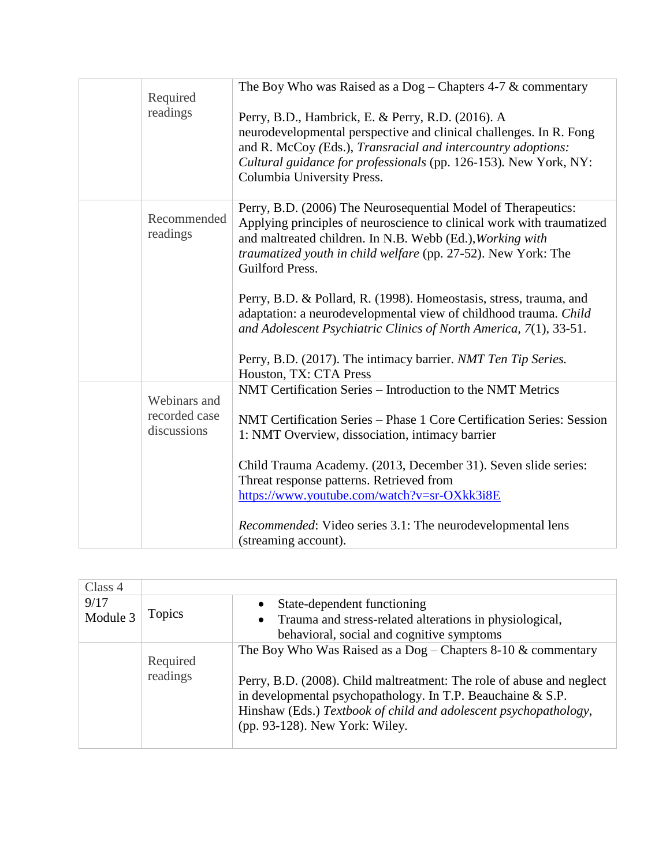| Required                     | The Boy Who was Raised as a $Dog$ – Chapters 4-7 & commentary                                                                                                                                                                                                                             |
|------------------------------|-------------------------------------------------------------------------------------------------------------------------------------------------------------------------------------------------------------------------------------------------------------------------------------------|
| readings                     | Perry, B.D., Hambrick, E. & Perry, R.D. (2016). A<br>neurodevelopmental perspective and clinical challenges. In R. Fong<br>and R. McCoy (Eds.), Transracial and intercountry adoptions:<br>Cultural guidance for professionals (pp. 126-153). New York, NY:<br>Columbia University Press. |
| Recommended<br>readings      | Perry, B.D. (2006) The Neurosequential Model of Therapeutics:<br>Applying principles of neuroscience to clinical work with traumatized<br>and maltreated children. In N.B. Webb (Ed.), Working with<br>traumatized youth in child welfare (pp. 27-52). New York: The<br>Guilford Press.   |
|                              | Perry, B.D. & Pollard, R. (1998). Homeostasis, stress, trauma, and<br>adaptation: a neurodevelopmental view of childhood trauma. Child<br>and Adolescent Psychiatric Clinics of North America, 7(1), 33-51.                                                                               |
|                              | Perry, B.D. (2017). The intimacy barrier. NMT Ten Tip Series.<br>Houston, TX: CTA Press                                                                                                                                                                                                   |
| Webinars and                 | NMT Certification Series – Introduction to the NMT Metrics                                                                                                                                                                                                                                |
| recorded case<br>discussions | NMT Certification Series - Phase 1 Core Certification Series: Session<br>1: NMT Overview, dissociation, intimacy barrier                                                                                                                                                                  |
|                              | Child Trauma Academy. (2013, December 31). Seven slide series:<br>Threat response patterns. Retrieved from<br>https://www.youtube.com/watch?v=sr-OXkk3i8E                                                                                                                                 |
|                              | <i>Recommended:</i> Video series 3.1: The neurodevelopmental lens<br>(streaming account).                                                                                                                                                                                                 |

| Class 4  |               |                                                                       |
|----------|---------------|-----------------------------------------------------------------------|
| 9/17     |               | State-dependent functioning<br>$\bullet$                              |
| Module 3 | <b>Topics</b> | • Trauma and stress-related alterations in physiological,             |
|          |               | behavioral, social and cognitive symptoms                             |
|          |               | The Boy Who Was Raised as a $Dog$ – Chapters 8-10 & commentary        |
|          | Required      |                                                                       |
|          | readings      | Perry, B.D. (2008). Child maltreatment: The role of abuse and neglect |
|          |               | in developmental psychopathology. In T.P. Beauchaine & S.P.           |
|          |               | Hinshaw (Eds.) Textbook of child and adolescent psychopathology,      |
|          |               | (pp. 93-128). New York: Wiley.                                        |
|          |               |                                                                       |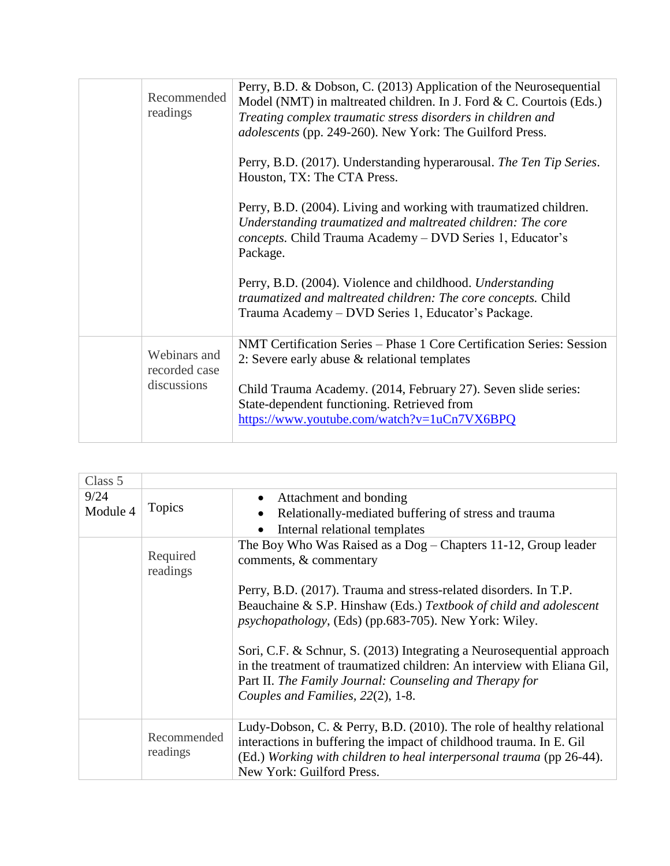| Recommended<br>readings                      | Perry, B.D. & Dobson, C. (2013) Application of the Neurosequential<br>Model (NMT) in maltreated children. In J. Ford $& C$ . Courtois (Eds.)<br>Treating complex traumatic stress disorders in children and<br><i>adolescents</i> (pp. 249-260). New York: The Guilford Press.           |
|----------------------------------------------|------------------------------------------------------------------------------------------------------------------------------------------------------------------------------------------------------------------------------------------------------------------------------------------|
|                                              | Perry, B.D. (2017). Understanding hyperarousal. The Ten Tip Series.<br>Houston, TX: The CTA Press.                                                                                                                                                                                       |
|                                              | Perry, B.D. (2004). Living and working with traumatized children.<br>Understanding traumatized and maltreated children: The core<br>concepts. Child Trauma Academy - DVD Series 1, Educator's<br>Package.                                                                                |
|                                              | Perry, B.D. (2004). Violence and childhood. Understanding<br>traumatized and maltreated children: The core concepts. Child<br>Trauma Academy – DVD Series 1, Educator's Package.                                                                                                         |
| Webinars and<br>recorded case<br>discussions | NMT Certification Series – Phase 1 Core Certification Series: Session<br>2: Severe early abuse $\&$ relational templates<br>Child Trauma Academy. (2014, February 27). Seven slide series:<br>State-dependent functioning. Retrieved from<br>https://www.youtube.com/watch?v=1uCn7VX6BPQ |
|                                              |                                                                                                                                                                                                                                                                                          |

| Class 5          |                         |                                                                                                                                                                                                                                                  |
|------------------|-------------------------|--------------------------------------------------------------------------------------------------------------------------------------------------------------------------------------------------------------------------------------------------|
| 9/24<br>Module 4 | <b>Topics</b>           | Attachment and bonding<br>$\bullet$<br>Relationally-mediated buffering of stress and trauma<br>$\bullet$<br>Internal relational templates<br>$\bullet$                                                                                           |
|                  | Required<br>readings    | The Boy Who Was Raised as a Dog - Chapters 11-12, Group leader<br>comments, & commentary                                                                                                                                                         |
|                  |                         | Perry, B.D. (2017). Trauma and stress-related disorders. In T.P.<br>Beauchaine & S.P. Hinshaw (Eds.) Textbook of child and adolescent<br><i>psychopathology</i> , (Eds) (pp.683-705). New York: Wiley.                                           |
|                  |                         | Sori, C.F. & Schnur, S. (2013) Integrating a Neurosequential approach<br>in the treatment of traumatized children: An interview with Eliana Gil,<br>Part II. The Family Journal: Counseling and Therapy for<br>Couples and Families, 22(2), 1-8. |
|                  | Recommended<br>readings | Ludy-Dobson, C. & Perry, B.D. (2010). The role of healthy relational<br>interactions in buffering the impact of childhood trauma. In E. Gil<br>(Ed.) Working with children to heal interpersonal trauma (pp 26-44).<br>New York: Guilford Press. |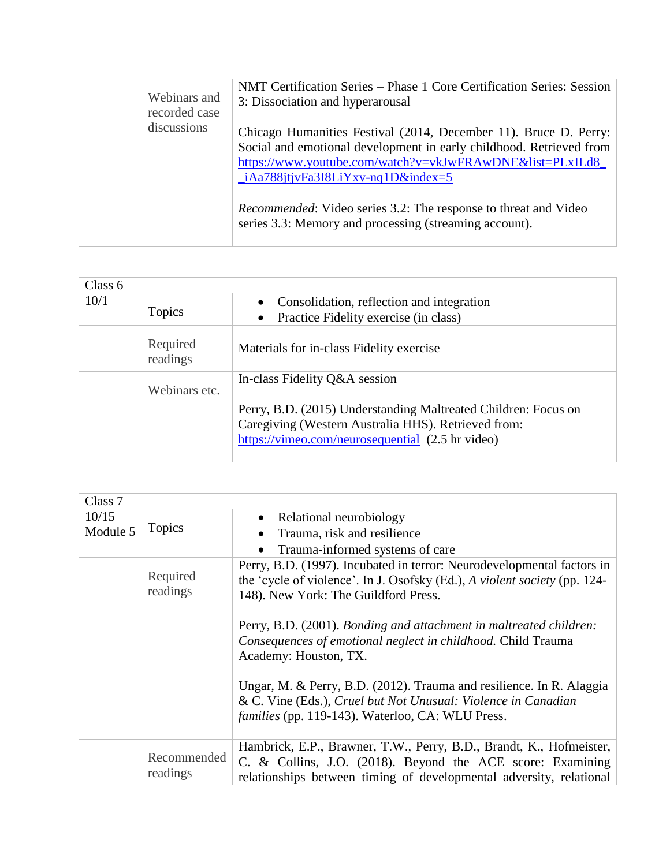| Webinars and<br>recorded case | NMT Certification Series - Phase 1 Core Certification Series: Session<br>3: Dissociation and hyperarousal                                                                                                                                                        |
|-------------------------------|------------------------------------------------------------------------------------------------------------------------------------------------------------------------------------------------------------------------------------------------------------------|
| discussions                   | Chicago Humanities Festival (2014, December 11). Bruce D. Perry:<br>Social and emotional development in early childhood. Retrieved from<br>https://www.youtube.com/watch?v=vkJwFRAwDNE&list=PLxILd8<br>$\frac{1}{2}$ Aa788 it jv Fa3I8Li Y x v-nq 1D & index = 5 |
|                               | <i>Recommended:</i> Video series 3.2: The response to threat and Video<br>series 3.3: Memory and processing (streaming account).                                                                                                                                 |

| Class 6 |                      |                                                                                                                                                                           |
|---------|----------------------|---------------------------------------------------------------------------------------------------------------------------------------------------------------------------|
| 10/1    |                      | Consolidation, reflection and integration<br>$\bullet$                                                                                                                    |
|         | <b>Topics</b>        | Practice Fidelity exercise (in class)<br>$\bullet$                                                                                                                        |
|         | Required<br>readings | Materials for in-class Fidelity exercise                                                                                                                                  |
|         | Webinars etc.        | In-class Fidelity Q&A session                                                                                                                                             |
|         |                      | Perry, B.D. (2015) Understanding Maltreated Children: Focus on<br>Caregiving (Western Australia HHS). Retrieved from:<br>https://vimeo.com/neurosequential (2.5 hr video) |

| Class 7  |                         |                                                                                                                                                                                                          |
|----------|-------------------------|----------------------------------------------------------------------------------------------------------------------------------------------------------------------------------------------------------|
| 10/15    |                         | Relational neurobiology<br>$\bullet$                                                                                                                                                                     |
| Module 5 | <b>Topics</b>           | Trauma, risk and resilience<br>$\bullet$                                                                                                                                                                 |
|          |                         | Trauma-informed systems of care<br>$\bullet$                                                                                                                                                             |
|          | Required<br>readings    | Perry, B.D. (1997). Incubated in terror: Neurodevelopmental factors in<br>the 'cycle of violence'. In J. Osofsky (Ed.), A violent society (pp. 124-<br>148). New York: The Guildford Press.              |
|          |                         | Perry, B.D. (2001). Bonding and attachment in maltreated children:<br>Consequences of emotional neglect in childhood. Child Trauma<br>Academy: Houston, TX.                                              |
|          |                         | Ungar, M. & Perry, B.D. (2012). Trauma and resilience. In R. Alaggia<br>& C. Vine (Eds.), Cruel but Not Unusual: Violence in Canadian<br><i>families</i> (pp. 119-143). Waterloo, CA: WLU Press.         |
|          | Recommended<br>readings | Hambrick, E.P., Brawner, T.W., Perry, B.D., Brandt, K., Hofmeister,<br>C. & Collins, J.O. (2018). Beyond the ACE score: Examining<br>relationships between timing of developmental adversity, relational |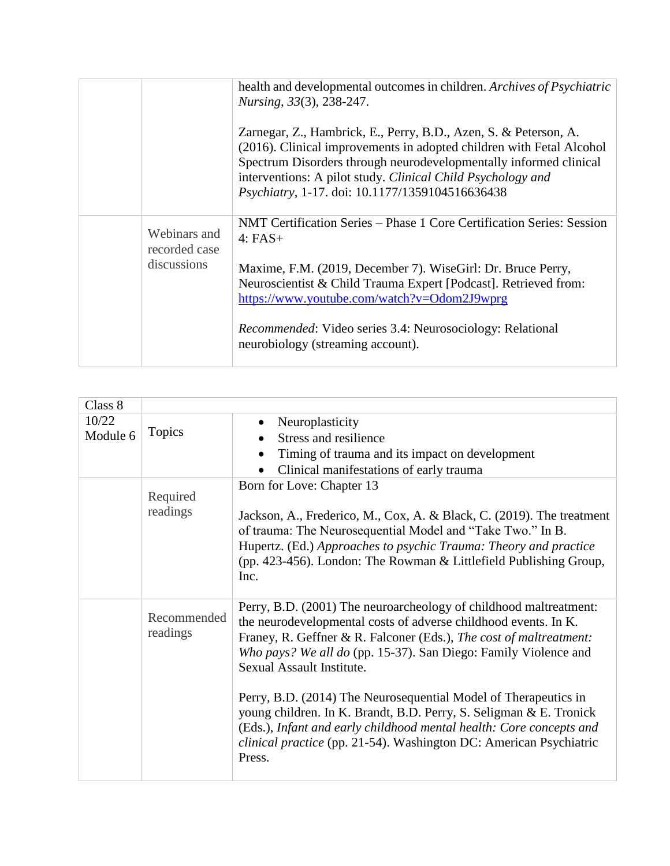|                                              | health and developmental outcomes in children. Archives of Psychiatric<br>Nursing, 33(3), 238-247.<br>Zarnegar, Z., Hambrick, E., Perry, B.D., Azen, S. & Peterson, A.<br>(2016). Clinical improvements in adopted children with Fetal Alcohol<br>Spectrum Disorders through neurodevelopmentally informed clinical<br>interventions: A pilot study. Clinical Child Psychology and<br>Psychiatry, 1-17. doi: 10.1177/1359104516636438 |
|----------------------------------------------|---------------------------------------------------------------------------------------------------------------------------------------------------------------------------------------------------------------------------------------------------------------------------------------------------------------------------------------------------------------------------------------------------------------------------------------|
| Webinars and<br>recorded case<br>discussions | NMT Certification Series – Phase 1 Core Certification Series: Session<br>$4: FAST+$<br>Maxime, F.M. (2019, December 7). WiseGirl: Dr. Bruce Perry,<br>Neuroscientist & Child Trauma Expert [Podcast]. Retrieved from:<br>https://www.youtube.com/watch?v=Odom2J9wprg<br><i>Recommended:</i> Video series 3.4: Neurosociology: Relational<br>neurobiology (streaming account).                                                         |

| Class 8  |                         |                                                                                                                                                                                                                                                                                                                                                                               |
|----------|-------------------------|-------------------------------------------------------------------------------------------------------------------------------------------------------------------------------------------------------------------------------------------------------------------------------------------------------------------------------------------------------------------------------|
| 10/22    |                         | Neuroplasticity<br>$\bullet$                                                                                                                                                                                                                                                                                                                                                  |
| Module 6 | <b>Topics</b>           | Stress and resilience                                                                                                                                                                                                                                                                                                                                                         |
|          |                         | Timing of trauma and its impact on development                                                                                                                                                                                                                                                                                                                                |
|          |                         | Clinical manifestations of early trauma                                                                                                                                                                                                                                                                                                                                       |
|          | Required                | Born for Love: Chapter 13                                                                                                                                                                                                                                                                                                                                                     |
|          | readings                | Jackson, A., Frederico, M., Cox, A. & Black, C. (2019). The treatment<br>of trauma: The Neurosequential Model and "Take Two." In B.<br>Hupertz. (Ed.) Approaches to psychic Trauma: Theory and practice<br>(pp. 423-456). London: The Rowman & Littlefield Publishing Group,<br>Inc.                                                                                          |
|          | Recommended<br>readings | Perry, B.D. (2001) The neuroarcheology of childhood maltreatment:<br>the neurodevelopmental costs of adverse childhood events. In K.<br>Franey, R. Geffner & R. Falconer (Eds.), The cost of maltreatment:<br>Who pays? We all do (pp. 15-37). San Diego: Family Violence and<br>Sexual Assault Institute.<br>Perry, B.D. (2014) The Neurosequential Model of Therapeutics in |
|          |                         | young children. In K. Brandt, B.D. Perry, S. Seligman & E. Tronick<br>(Eds.), Infant and early childhood mental health: Core concepts and<br>clinical practice (pp. 21-54). Washington DC: American Psychiatric<br>Press.                                                                                                                                                     |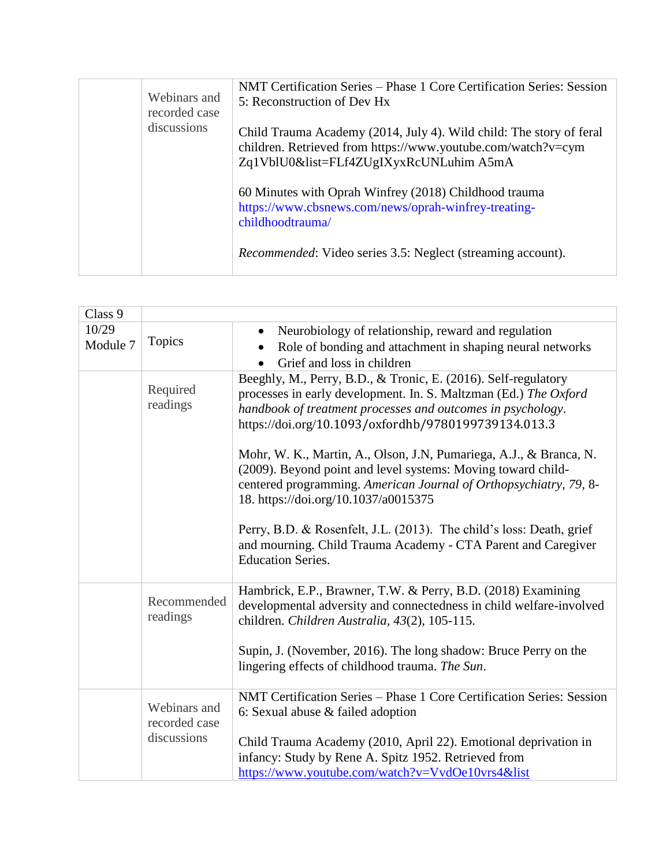| Webinars and<br>recorded case | NMT Certification Series – Phase 1 Core Certification Series: Session<br>5: Reconstruction of Dev Hx                                                                           |
|-------------------------------|--------------------------------------------------------------------------------------------------------------------------------------------------------------------------------|
| discussions                   | Child Trauma Academy (2014, July 4). Wild child: The story of feral<br>children. Retrieved from https://www.youtube.com/watch?v=cym<br>Zq1VblU0&list=FLf4ZUgIXyxRcUNLuhim A5mA |
|                               | 60 Minutes with Oprah Winfrey (2018) Childhood trauma<br>https://www.cbsnews.com/news/oprah-winfrey-treating-<br>childhoodtrauma/                                              |
|                               | <i>Recommended:</i> Video series 3.5: Neglect (streaming account).                                                                                                             |

| Class 9           |                               |                                                                                                                                                                                                                                                                                                                                 |
|-------------------|-------------------------------|---------------------------------------------------------------------------------------------------------------------------------------------------------------------------------------------------------------------------------------------------------------------------------------------------------------------------------|
| 10/29<br>Module 7 | <b>Topics</b>                 | Neurobiology of relationship, reward and regulation<br>$\bullet$<br>Role of bonding and attachment in shaping neural networks<br>Grief and loss in children                                                                                                                                                                     |
|                   | Required<br>readings          | Beeghly, M., Perry, B.D., & Tronic, E. (2016). Self-regulatory<br>processes in early development. In. S. Maltzman (Ed.) The Oxford<br>handbook of treatment processes and outcomes in psychology.<br>https://doi.org/10.1093/oxfordhb/9780199739134.013.3<br>Mohr, W. K., Martin, A., Olson, J.N, Pumariega, A.J., & Branca, N. |
|                   |                               | (2009). Beyond point and level systems: Moving toward child-<br>centered programming. American Journal of Orthopsychiatry, 79, 8-<br>18. https://doi.org/10.1037/a0015375                                                                                                                                                       |
|                   |                               | Perry, B.D. & Rosenfelt, J.L. (2013). The child's loss: Death, grief<br>and mourning. Child Trauma Academy - CTA Parent and Caregiver<br><b>Education Series.</b>                                                                                                                                                               |
|                   | Recommended<br>readings       | Hambrick, E.P., Brawner, T.W. & Perry, B.D. (2018) Examining<br>developmental adversity and connectedness in child welfare-involved<br>children. Children Australia, 43(2), 105-115.                                                                                                                                            |
|                   |                               | Supin, J. (November, 2016). The long shadow: Bruce Perry on the<br>lingering effects of childhood trauma. The Sun.                                                                                                                                                                                                              |
|                   | Webinars and<br>recorded case | NMT Certification Series - Phase 1 Core Certification Series: Session<br>6: Sexual abuse $&$ failed adoption                                                                                                                                                                                                                    |
|                   | discussions                   | Child Trauma Academy (2010, April 22). Emotional deprivation in<br>infancy: Study by Rene A. Spitz 1952. Retrieved from<br>https://www.youtube.com/watch?v=VvdOe10vrs4&list                                                                                                                                                     |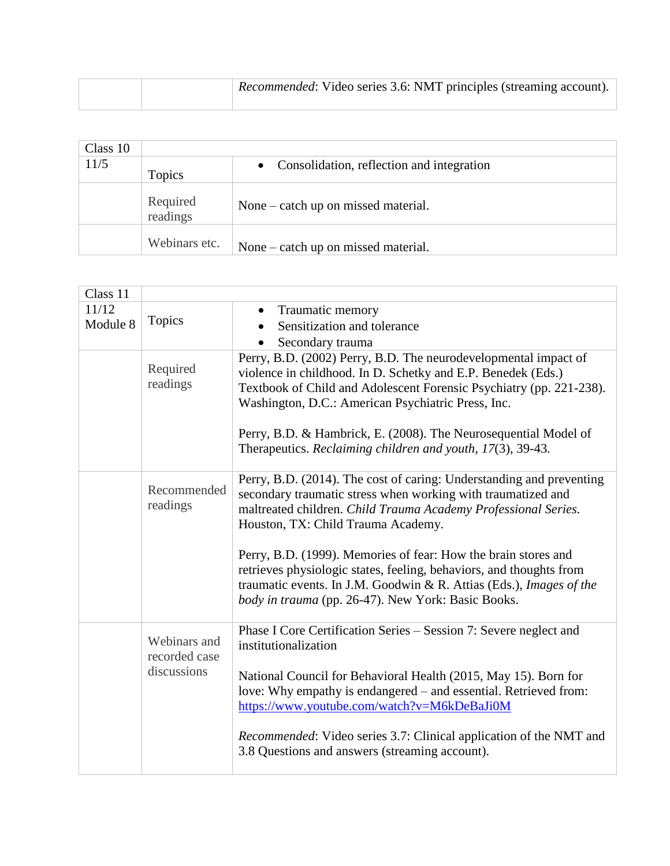|  | <i>Recommended:</i> Video series 3.6: NMT principles (streaming account). |
|--|---------------------------------------------------------------------------|
|  |                                                                           |

| Class 10 |                      |                                             |
|----------|----------------------|---------------------------------------------|
| 11/5     | <b>Topics</b>        | • Consolidation, reflection and integration |
|          | Required<br>readings | None – catch up on missed material.         |
|          | Webinars etc.        | None – catch up on missed material.         |

| Class 11 |                                              |                                                                                                                                                                                                                                                                    |
|----------|----------------------------------------------|--------------------------------------------------------------------------------------------------------------------------------------------------------------------------------------------------------------------------------------------------------------------|
| 11/12    |                                              | Traumatic memory                                                                                                                                                                                                                                                   |
| Module 8 | <b>Topics</b>                                | Sensitization and tolerance                                                                                                                                                                                                                                        |
|          |                                              | Secondary trauma                                                                                                                                                                                                                                                   |
|          | Required<br>readings                         | Perry, B.D. (2002) Perry, B.D. The neurodevelopmental impact of<br>violence in childhood. In D. Schetky and E.P. Benedek (Eds.)<br>Textbook of Child and Adolescent Forensic Psychiatry (pp. 221-238).<br>Washington, D.C.: American Psychiatric Press, Inc.       |
|          |                                              | Perry, B.D. & Hambrick, E. (2008). The Neurosequential Model of<br>Therapeutics. Reclaiming children and youth, 17(3), 39-43.                                                                                                                                      |
|          | Recommended<br>readings                      | Perry, B.D. (2014). The cost of caring: Understanding and preventing<br>secondary traumatic stress when working with traumatized and<br>maltreated children. Child Trauma Academy Professional Series.<br>Houston, TX: Child Trauma Academy.                       |
|          |                                              | Perry, B.D. (1999). Memories of fear: How the brain stores and<br>retrieves physiologic states, feeling, behaviors, and thoughts from<br>traumatic events. In J.M. Goodwin & R. Attias (Eds.), Images of the<br>body in trauma (pp. 26-47). New York: Basic Books. |
|          | Webinars and<br>recorded case<br>discussions | Phase I Core Certification Series – Session 7: Severe neglect and<br>institutionalization                                                                                                                                                                          |
|          |                                              | National Council for Behavioral Health (2015, May 15). Born for<br>love: Why empathy is endangered – and essential. Retrieved from:<br>https://www.youtube.com/watch?v=M6kDeBaJi0M                                                                                 |
|          |                                              | Recommended: Video series 3.7: Clinical application of the NMT and<br>3.8 Questions and answers (streaming account).                                                                                                                                               |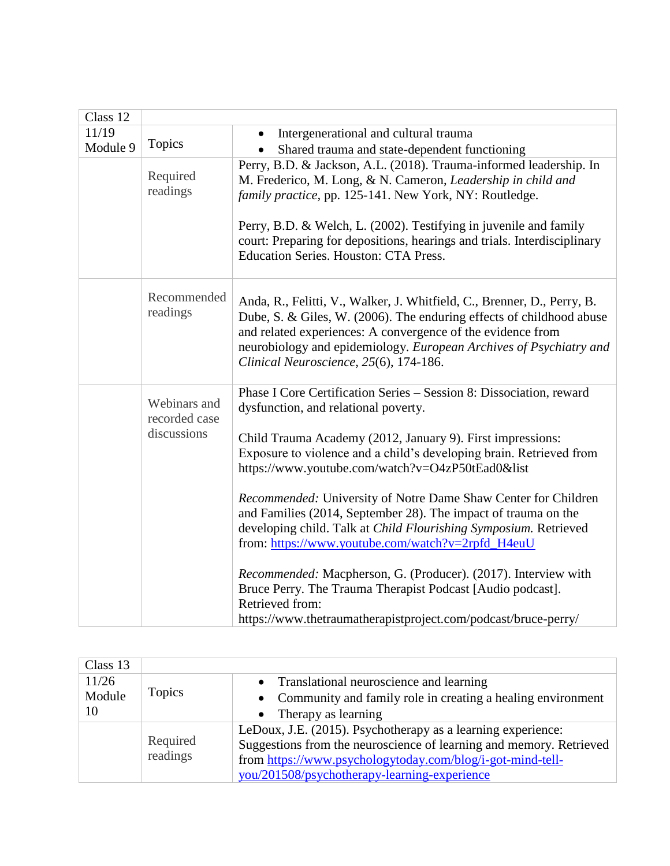| Class 12 |                                              |                                                                                                                                                                                                                                                                                                                                                                                                                                                                                                                                                                                                                                                                                                                                                                                        |
|----------|----------------------------------------------|----------------------------------------------------------------------------------------------------------------------------------------------------------------------------------------------------------------------------------------------------------------------------------------------------------------------------------------------------------------------------------------------------------------------------------------------------------------------------------------------------------------------------------------------------------------------------------------------------------------------------------------------------------------------------------------------------------------------------------------------------------------------------------------|
| 11/19    |                                              | Intergenerational and cultural trauma<br>$\bullet$                                                                                                                                                                                                                                                                                                                                                                                                                                                                                                                                                                                                                                                                                                                                     |
| Module 9 | <b>Topics</b>                                | Shared trauma and state-dependent functioning                                                                                                                                                                                                                                                                                                                                                                                                                                                                                                                                                                                                                                                                                                                                          |
|          | Required<br>readings                         | Perry, B.D. & Jackson, A.L. (2018). Trauma-informed leadership. In<br>M. Frederico, M. Long, & N. Cameron, Leadership in child and<br>family practice, pp. 125-141. New York, NY: Routledge.                                                                                                                                                                                                                                                                                                                                                                                                                                                                                                                                                                                           |
|          |                                              | Perry, B.D. & Welch, L. (2002). Testifying in juvenile and family<br>court: Preparing for depositions, hearings and trials. Interdisciplinary<br>Education Series. Houston: CTA Press.                                                                                                                                                                                                                                                                                                                                                                                                                                                                                                                                                                                                 |
|          | Recommended<br>readings                      | Anda, R., Felitti, V., Walker, J. Whitfield, C., Brenner, D., Perry, B.<br>Dube, S. & Giles, W. (2006). The enduring effects of childhood abuse<br>and related experiences: A convergence of the evidence from<br>neurobiology and epidemiology. European Archives of Psychiatry and<br>Clinical Neuroscience, 25(6), 174-186.                                                                                                                                                                                                                                                                                                                                                                                                                                                         |
|          | Webinars and<br>recorded case<br>discussions | Phase I Core Certification Series - Session 8: Dissociation, reward<br>dysfunction, and relational poverty.<br>Child Trauma Academy (2012, January 9). First impressions:<br>Exposure to violence and a child's developing brain. Retrieved from<br>https://www.youtube.com/watch?v=O4zP50tEad0&list<br>Recommended: University of Notre Dame Shaw Center for Children<br>and Families (2014, September 28). The impact of trauma on the<br>developing child. Talk at Child Flourishing Symposium. Retrieved<br>from: https://www.youtube.com/watch?v=2rpfd_H4euU<br>Recommended: Macpherson, G. (Producer). (2017). Interview with<br>Bruce Perry. The Trauma Therapist Podcast [Audio podcast].<br>Retrieved from:<br>https://www.thetraumatherapistproject.com/podcast/bruce-perry/ |

| Class 13 |                      |                                                                                                                                                                                                   |
|----------|----------------------|---------------------------------------------------------------------------------------------------------------------------------------------------------------------------------------------------|
| 11/26    | <b>Topics</b>        | • Translational neuroscience and learning                                                                                                                                                         |
| Module   |                      | • Community and family role in creating a healing environment                                                                                                                                     |
| 10       |                      | Therapy as learning<br>$\bullet$                                                                                                                                                                  |
|          | Required<br>readings | LeDoux, J.E. (2015). Psychotherapy as a learning experience:<br>Suggestions from the neuroscience of learning and memory. Retrieved<br>from https://www.psychologytoday.com/blog/i-got-mind-tell- |
|          |                      | you/201508/psychotherapy-learning-experience                                                                                                                                                      |